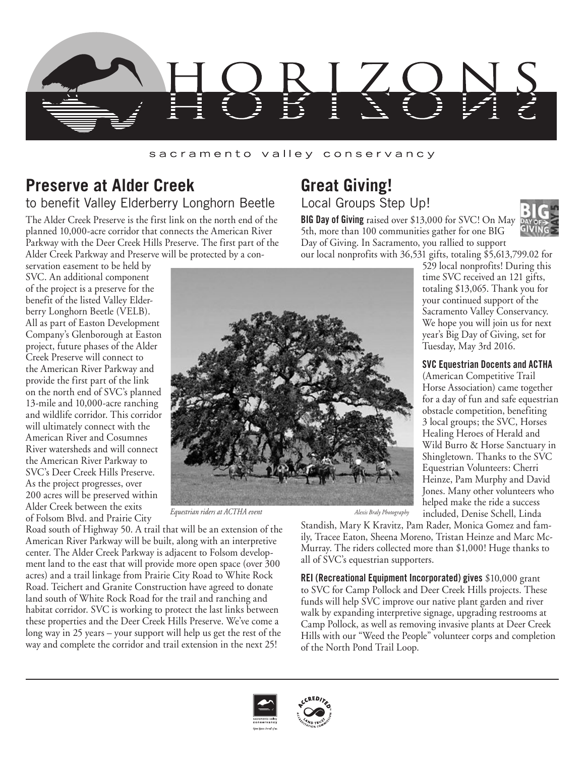

### sacramento valley conservancy

## **Preserve at Alder Creek** to benefit Valley Elderberry Longhorn Beetle

The Alder Creek Preserve is the first link on the north end of the planned 10,000-acre corridor that connects the American River Parkway with the Deer Creek Hills Preserve. The first part of the Alder Creek Parkway and Preserve will be protected by a con-

## **Great Giving!** Local Groups Step Up!

**BIG Day of Giving** raised over \$13,000 for SVC! On May 5th, more than 100 communities gather for one BIG Day of Giving. In Sacramento, you rallied to support our local nonprofits with 36,531 gifts, totaling \$5,613,799.02 for



529 local nonprofits! During this time SVC received an 121 gifts, totaling \$13,065. Thank you for your continued support of the Sacramento Valley Conservancy. We hope you will join us for next year's Big Day of Giving, set for

**SVC Equestrian Docents and ACTHA** (American Competitive Trail Horse Association) came together for a day of fun and safe equestrian obstacle competition, benefiting 3 local groups; the SVC, Horses Healing Heroes of Herald and Wild Burro & Horse Sanctuary in Shingletown. Thanks to the SVC Equestrian Volunteers: Cherri Heinze, Pam Murphy and David Jones. Many other volunteers who helped make the ride a success included, Denise Schell, Linda

Tuesday, May 3rd 2016.

servation easement to be held by SVC. An additional component of the project is a preserve for the benefit of the listed Valley Elderberry Longhorn Beetle (VELB). All as part of Easton Development Company's Glenborough at Easton project, future phases of the Alder Creek Preserve will connect to the American River Parkway and provide the first part of the link on the north end of SVC's planned 13-mile and 10,000-acre ranching and wildlife corridor. This corridor will ultimately connect with the American River and Cosumnes River watersheds and will connect the American River Parkway to SVC's Deer Creek Hills Preserve. As the project progresses, over 200 acres will be preserved within Alder Creek between the exits of Folsom Blvd. and Prairie City



*Equestrian riders at ACTHA event* Alexis Braly *Photography* 

Road south of Highway 50. A trail that will be an extension of the American River Parkway will be built, along with an interpretive center. The Alder Creek Parkway is adjacent to Folsom development land to the east that will provide more open space (over 300 acres) and a trail linkage from Prairie City Road to White Rock Road. Teichert and Granite Construction have agreed to donate land south of White Rock Road for the trail and ranching and habitat corridor. SVC is working to protect the last links between these properties and the Deer Creek Hills Preserve. We've come a long way in 25 years – your support will help us get the rest of the way and complete the corridor and trail extension in the next 25!

Standish, Mary K Kravitz, Pam Rader, Monica Gomez and family, Tracee Eaton, Sheena Moreno, Tristan Heinze and Marc Mc-Murray. The riders collected more than \$1,000! Huge thanks to all of SVC's equestrian supporters.

**REI (Recreational Equipment Incorporated) gives** \$10,000 grant to SVC for Camp Pollock and Deer Creek Hills projects. These funds will help SVC improve our native plant garden and river walk by expanding interpretive signage, upgrading restrooms at Camp Pollock, as well as removing invasive plants at Deer Creek Hills with our "Weed the People" volunteer corps and completion of the North Pond Trail Loop.



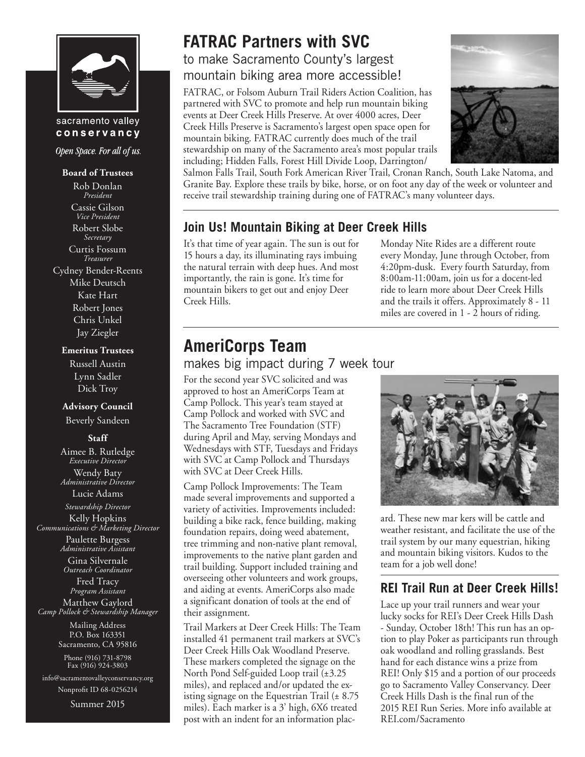

### sacramento valley conservancy

Open Space. For all of us.

#### **Board of Trustees**

Rob Donlan *President* Cassie Gilson *Vice President* Robert Slobe *Secretary* Curtis Fossum *Treasurer* Cydney Bender-Reents

Mike Deutsch Kate Hart Robert Jones Chris Unkel Jay Ziegler

#### **Emeritus Trustees**

Russell Austin Lynn Sadler Dick Troy

#### **Advisory Council**

Beverly Sandeen

### **Staff**

Aimee B. Rutledge *Executive Director* Wendy Baty *Administrative Director*

Lucie Adams *Stewardship Director*

Kelly Hopkins *Communications & Marketing Director* Paulette Burgess *Administrative Assistant*

> Gina Silvernale *Outreach Coordinator*

Fred Tracy *Program Assistant* Matthew Gaylord *Camp Pollock & Stewardship Manager*

> Mailing Address P.O. Box 163351 Sacramento, CA 95816

Phone (916) 731-8798 Fax (916) 924-3803

info@sacramentovalleyconservancy.org Nonprofit ID 68-0256214

Summer 2015

# **FATRAC Partners with SVC**

to make Sacramento County's largest mountain biking area more accessible!

FATRAC, or Folsom Auburn Trail Riders Action Coalition, has partnered with SVC to promote and help run mountain biking events at Deer Creek Hills Preserve. At over 4000 acres, Deer Creek Hills Preserve is Sacramento's largest open space open for mountain biking. FATRAC currently does much of the trail stewardship on many of the Sacramento area's most popular trails including; Hidden Falls, Forest Hill Divide Loop, Darrington/



Salmon Falls Trail, South Fork American River Trail, Cronan Ranch, South Lake Natoma, and Granite Bay. Explore these trails by bike, horse, or on foot any day of the week or volunteer and receive trail stewardship training during one of FATRAC's many volunteer days.

## **Join Us! Mountain Biking at Deer Creek Hills**

It's that time of year again. The sun is out for 15 hours a day, its illuminating rays imbuing the natural terrain with deep hues. And most importantly, the rain is gone. It's time for mountain bikers to get out and enjoy Deer Creek Hills.

Monday Nite Rides are a different route every Monday, June through October, from 4:20pm-dusk. Every fourth Saturday, from 8:00am-11:00am, join us for a docent-led ride to learn more about Deer Creek Hills and the trails it offers. Approximately 8 - 11 miles are covered in 1 - 2 hours of riding.

## **AmeriCorps Team**

### makes big impact during 7 week tour

For the second year SVC solicited and was approved to host an AmeriCorps Team at Camp Pollock. This year's team stayed at Camp Pollock and worked with SVC and The Sacramento Tree Foundation (STF) during April and May, serving Mondays and Wednesdays with STF, Tuesdays and Fridays with SVC at Camp Pollock and Thursdays with SVC at Deer Creek Hills.

Camp Pollock Improvements: The Team made several improvements and supported a variety of activities. Improvements included: building a bike rack, fence building, making foundation repairs, doing weed abatement, tree trimming and non-native plant removal, improvements to the native plant garden and trail building. Support included training and overseeing other volunteers and work groups, and aiding at events. AmeriCorps also made a significant donation of tools at the end of their assignment.

Trail Markers at Deer Creek Hills: The Team installed 41 permanent trail markers at SVC's Deer Creek Hills Oak Woodland Preserve. These markers completed the signage on the North Pond Self-guided Loop trail (±3.25 miles), and replaced and/or updated the existing signage on the Equestrian Trail (± 8.75 miles). Each marker is a 3' high, 6X6 treated post with an indent for an information plac-



ard. These new mar kers will be cattle and weather resistant, and facilitate the use of the trail system by our many equestrian, hiking and mountain biking visitors. Kudos to the team for a job well done!

## **REI Trail Run at Deer Creek Hills!**

Lace up your trail runners and wear your lucky socks for REI's Deer Creek Hills Dash - Sunday, October 18th! This run has an option to play Poker as participants run through oak woodland and rolling grasslands. Best hand for each distance wins a prize from REI! Only \$15 and a portion of our proceeds go to Sacramento Valley Conservancy. Deer Creek Hills Dash is the final run of the 2015 REI Run Series. More info available at REI.com/Sacramento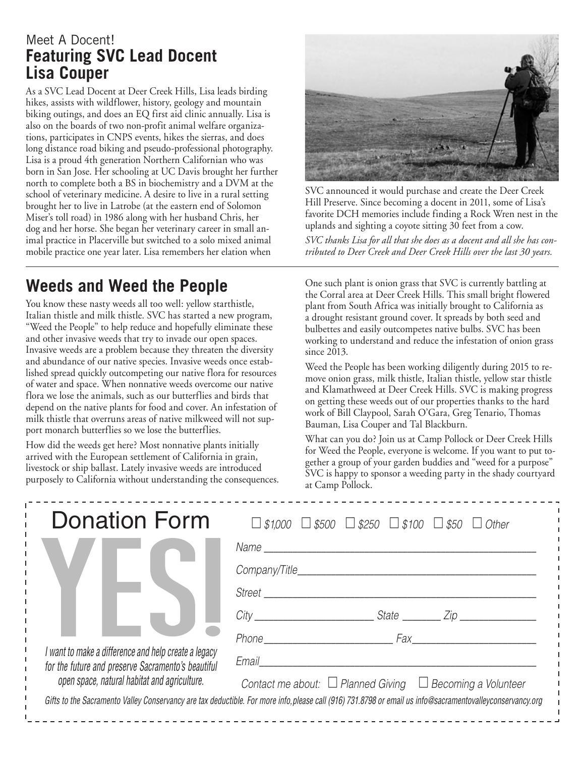## Meet A Docent! **Featuring SVC Lead Docent Lisa Couper**

As a SVC Lead Docent at Deer Creek Hills, Lisa leads birding hikes, assists with wildflower, history, geology and mountain biking outings, and does an EQ first aid clinic annually. Lisa is also on the boards of two non-profit animal welfare organizations, participates in CNPS events, hikes the sierras, and does long distance road biking and pseudo-professional photography. Lisa is a proud 4th generation Northern Californian who was born in San Jose. Her schooling at UC Davis brought her further north to complete both a BS in biochemistry and a DVM at the school of veterinary medicine. A desire to live in a rural setting brought her to live in Latrobe (at the eastern end of Solomon Miser's toll road) in 1986 along with her husband Chris, her dog and her horse. She began her veterinary career in small animal practice in Placerville but switched to a solo mixed animal mobile practice one year later. Lisa remembers her elation when



SVC announced it would purchase and create the Deer Creek Hill Preserve. Since becoming a docent in 2011, some of Lisa's favorite DCH memories include finding a Rock Wren nest in the uplands and sighting a coyote sitting 30 feet from a cow.

*SVC thanks Lisa for all that she does as a docent and all she has contributed to Deer Creek and Deer Creek Hills over the last 30 years.*

# **Weeds and Weed the People**

You know these nasty weeds all too well: yellow starthistle, Italian thistle and milk thistle. SVC has started a new program, "Weed the People" to help reduce and hopefully eliminate these and other invasive weeds that try to invade our open spaces. Invasive weeds are a problem because they threaten the diversity and abundance of our native species. Invasive weeds once established spread quickly outcompeting our native flora for resources of water and space. When nonnative weeds overcome our native flora we lose the animals, such as our butterflies and birds that depend on the native plants for food and cover. An infestation of milk thistle that overruns areas of native milkweed will not support monarch butterflies so we lose the butterflies.

How did the weeds get here? Most nonnative plants initially arrived with the European settlement of California in grain, livestock or ship ballast. Lately invasive weeds are introduced purposely to California without understanding the consequences.

One such plant is onion grass that SVC is currently battling at the Corral area at Deer Creek Hills. This small bright flowered plant from South Africa was initially brought to California as a drought resistant ground cover. It spreads by both seed and bulbettes and easily outcompetes native bulbs. SVC has been working to understand and reduce the infestation of onion grass since 2013.

Weed the People has been working diligently during 2015 to remove onion grass, milk thistle, Italian thistle, yellow star thistle and Klamathweed at Deer Creek Hills. SVC is making progress on getting these weeds out of our properties thanks to the hard work of Bill Claypool, Sarah O'Gara, Greg Tenario, Thomas Bauman, Lisa Couper and Tal Blackburn.

What can you do? Join us at Camp Pollock or Deer Creek Hills for Weed the People, everyone is welcome. If you want to put together a group of your garden buddies and "weed for a purpose" SVC is happy to sponsor a weeding party in the shady courtyard at Camp Pollock.

| <b>Donation Form</b>                                                                                                                                       | $\Box$ \$1,000 $\Box$ \$500 $\Box$ \$250 $\Box$ \$100 $\Box$ \$50 $\Box$ Other                                                                            |
|------------------------------------------------------------------------------------------------------------------------------------------------------------|-----------------------------------------------------------------------------------------------------------------------------------------------------------|
| I want to make a difference and help create a legacy<br>for the future and preserve Sacramento's beautiful<br>open space, natural habitat and agriculture. |                                                                                                                                                           |
|                                                                                                                                                            |                                                                                                                                                           |
|                                                                                                                                                            | Street                                                                                                                                                    |
|                                                                                                                                                            | City City State City                                                                                                                                      |
|                                                                                                                                                            | Phone Fax                                                                                                                                                 |
|                                                                                                                                                            | Email                                                                                                                                                     |
|                                                                                                                                                            | Contact me about: $\Box$ Planned Giving $\Box$ Becoming a Volunteer                                                                                       |
|                                                                                                                                                            | Gifts to the Sacramento Valley Conservancy are tax deductible. For more info, please call (916) 731.8798 or email us info@sacramentovalleyconservancy.org |